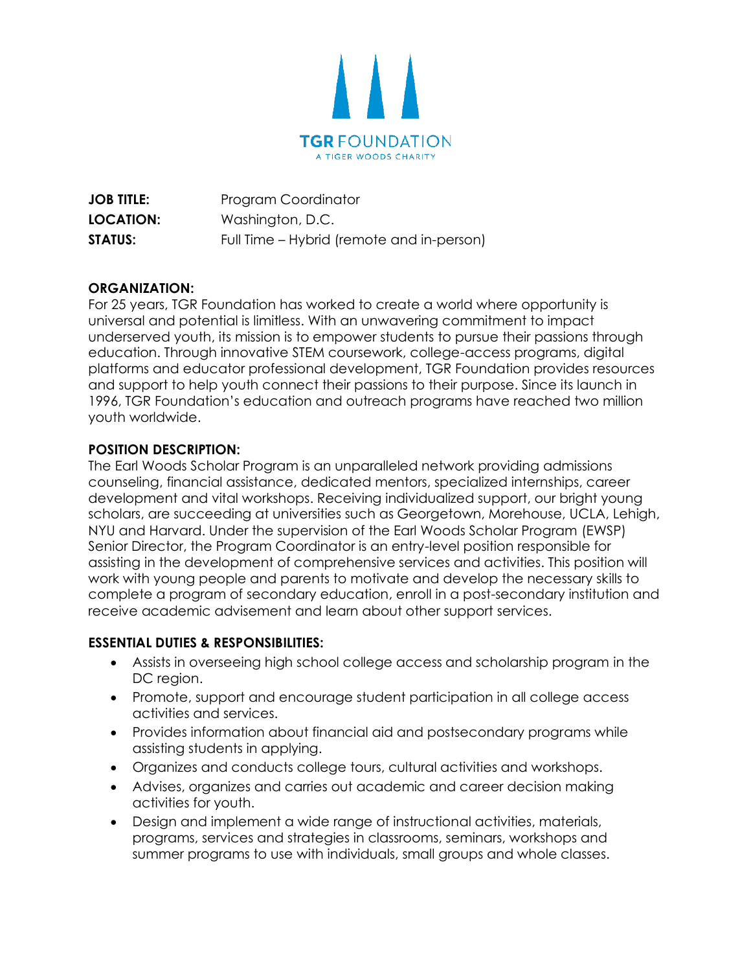

**JOB TITLE:** Program Coordinator **LOCATION:** Washington, D.C. **STATUS:** Full Time – Hybrid (remote and in-person)

## **ORGANIZATION:**

For 25 years, TGR Foundation has worked to create a world where opportunity is universal and potential is limitless. With an unwavering commitment to impact underserved youth, its mission is to empower students to pursue their passions through education. Through innovative STEM coursework, college-access programs, digital platforms and educator professional development, TGR Foundation provides resources and support to help youth connect their passions to their purpose. Since its launch in 1996, TGR Foundation's education and outreach programs have reached two million youth worldwide.

## **POSITION DESCRIPTION:**

The Earl Woods Scholar Program is an unparalleled network providing admissions counseling, financial assistance, dedicated mentors, specialized internships, career development and vital workshops. Receiving individualized support, our bright young scholars, are succeeding at universities such as Georgetown, Morehouse, UCLA, Lehigh, NYU and Harvard. Under the supervision of the Earl Woods Scholar Program (EWSP) Senior Director, the Program Coordinator is an entry-level position responsible for assisting in the development of comprehensive services and activities. This position will work with young people and parents to motivate and develop the necessary skills to complete a program of secondary education, enroll in a post-secondary institution and receive academic advisement and learn about other support services.

## **ESSENTIAL DUTIES & RESPONSIBILITIES:**

- Assists in overseeing high school college access and scholarship program in the DC region.
- Promote, support and encourage student participation in all college access activities and services.
- Provides information about financial aid and postsecondary programs while assisting students in applying.
- Organizes and conducts college tours, cultural activities and workshops.
- Advises, organizes and carries out academic and career decision making activities for youth.
- Design and implement a wide range of instructional activities, materials, programs, services and strategies in classrooms, seminars, workshops and summer programs to use with individuals, small groups and whole classes.